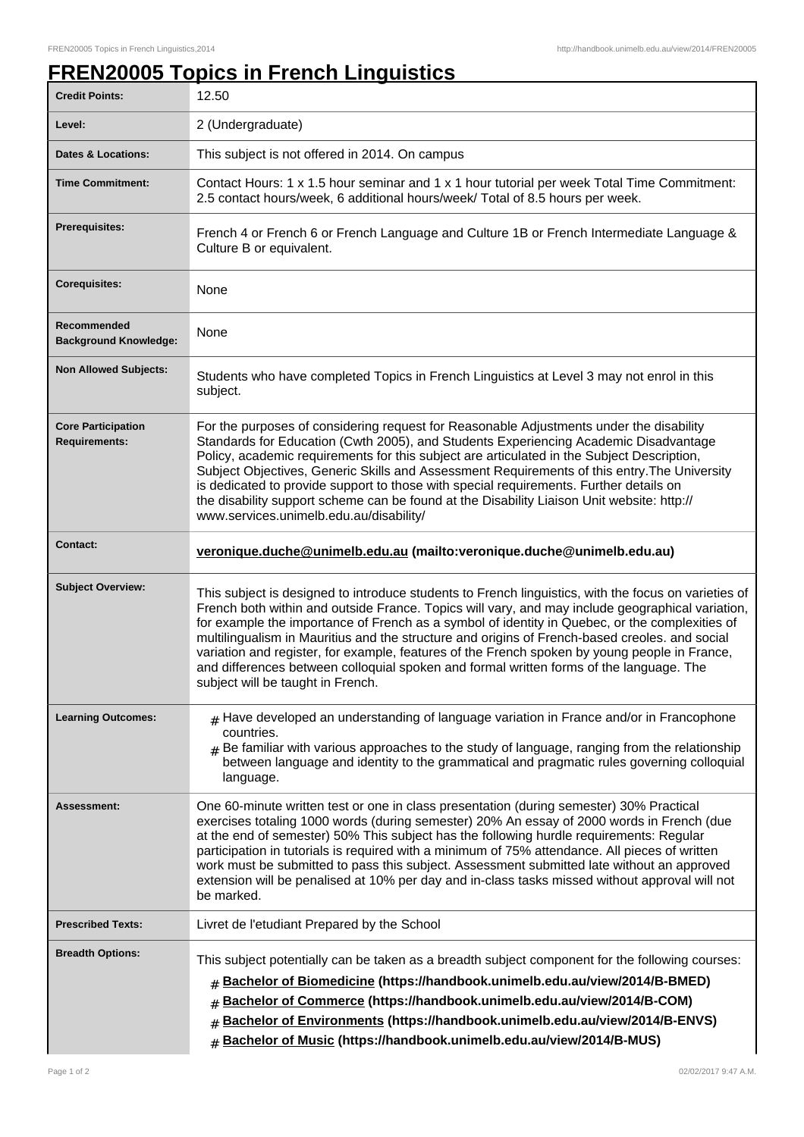## **FREN20005 Topics in French Linguistics**

| <b>Credit Points:</b>                             | 12.50                                                                                                                                                                                                                                                                                                                                                                                                                                                                                                                                                                                                                                         |
|---------------------------------------------------|-----------------------------------------------------------------------------------------------------------------------------------------------------------------------------------------------------------------------------------------------------------------------------------------------------------------------------------------------------------------------------------------------------------------------------------------------------------------------------------------------------------------------------------------------------------------------------------------------------------------------------------------------|
| Level:                                            | 2 (Undergraduate)                                                                                                                                                                                                                                                                                                                                                                                                                                                                                                                                                                                                                             |
| <b>Dates &amp; Locations:</b>                     | This subject is not offered in 2014. On campus                                                                                                                                                                                                                                                                                                                                                                                                                                                                                                                                                                                                |
| <b>Time Commitment:</b>                           | Contact Hours: 1 x 1.5 hour seminar and 1 x 1 hour tutorial per week Total Time Commitment:<br>2.5 contact hours/week, 6 additional hours/week/ Total of 8.5 hours per week.                                                                                                                                                                                                                                                                                                                                                                                                                                                                  |
| <b>Prerequisites:</b>                             | French 4 or French 6 or French Language and Culture 1B or French Intermediate Language &<br>Culture B or equivalent.                                                                                                                                                                                                                                                                                                                                                                                                                                                                                                                          |
| <b>Corequisites:</b>                              | None                                                                                                                                                                                                                                                                                                                                                                                                                                                                                                                                                                                                                                          |
| Recommended<br><b>Background Knowledge:</b>       | None                                                                                                                                                                                                                                                                                                                                                                                                                                                                                                                                                                                                                                          |
| <b>Non Allowed Subjects:</b>                      | Students who have completed Topics in French Linguistics at Level 3 may not enrol in this<br>subject.                                                                                                                                                                                                                                                                                                                                                                                                                                                                                                                                         |
| <b>Core Participation</b><br><b>Requirements:</b> | For the purposes of considering request for Reasonable Adjustments under the disability<br>Standards for Education (Cwth 2005), and Students Experiencing Academic Disadvantage<br>Policy, academic requirements for this subject are articulated in the Subject Description,<br>Subject Objectives, Generic Skills and Assessment Requirements of this entry. The University<br>is dedicated to provide support to those with special requirements. Further details on<br>the disability support scheme can be found at the Disability Liaison Unit website: http://<br>www.services.unimelb.edu.au/disability/                              |
| <b>Contact:</b>                                   | veronique.duche@unimelb.edu.au (mailto:veronique.duche@unimelb.edu.au)                                                                                                                                                                                                                                                                                                                                                                                                                                                                                                                                                                        |
| <b>Subject Overview:</b>                          | This subject is designed to introduce students to French linguistics, with the focus on varieties of<br>French both within and outside France. Topics will vary, and may include geographical variation,<br>for example the importance of French as a symbol of identity in Quebec, or the complexities of<br>multilingualism in Mauritius and the structure and origins of French-based creoles. and social<br>variation and register, for example, features of the French spoken by young people in France,<br>and differences between colloquial spoken and formal written forms of the language. The<br>subject will be taught in French. |
| <b>Learning Outcomes:</b>                         | $#$ Have developed an understanding of language variation in France and/or in Francophone<br>countries.<br>$_{\text{\#}}$ Be familiar with various approaches to the study of language, ranging from the relationship<br>between language and identity to the grammatical and pragmatic rules governing colloquial<br>language.                                                                                                                                                                                                                                                                                                               |
| Assessment:                                       | One 60-minute written test or one in class presentation (during semester) 30% Practical<br>exercises totaling 1000 words (during semester) 20% An essay of 2000 words in French (due<br>at the end of semester) 50% This subject has the following hurdle requirements: Regular<br>participation in tutorials is required with a minimum of 75% attendance. All pieces of written<br>work must be submitted to pass this subject. Assessment submitted late without an approved<br>extension will be penalised at 10% per day and in-class tasks missed without approval will not<br>be marked.                                               |
| <b>Prescribed Texts:</b>                          | Livret de l'etudiant Prepared by the School                                                                                                                                                                                                                                                                                                                                                                                                                                                                                                                                                                                                   |
| <b>Breadth Options:</b>                           | This subject potentially can be taken as a breadth subject component for the following courses:<br>Bachelor of Biomedicine (https://handbook.unimelb.edu.au/view/2014/B-BMED)<br>#<br>Bachelor of Commerce (https://handbook.unimelb.edu.au/view/2014/B-COM)<br>#<br>Bachelor of Environments (https://handbook.unimelb.edu.au/view/2014/B-ENVS)<br>#<br>Bachelor of Music (https://handbook.unimelb.edu.au/view/2014/B-MUS)<br>#                                                                                                                                                                                                             |